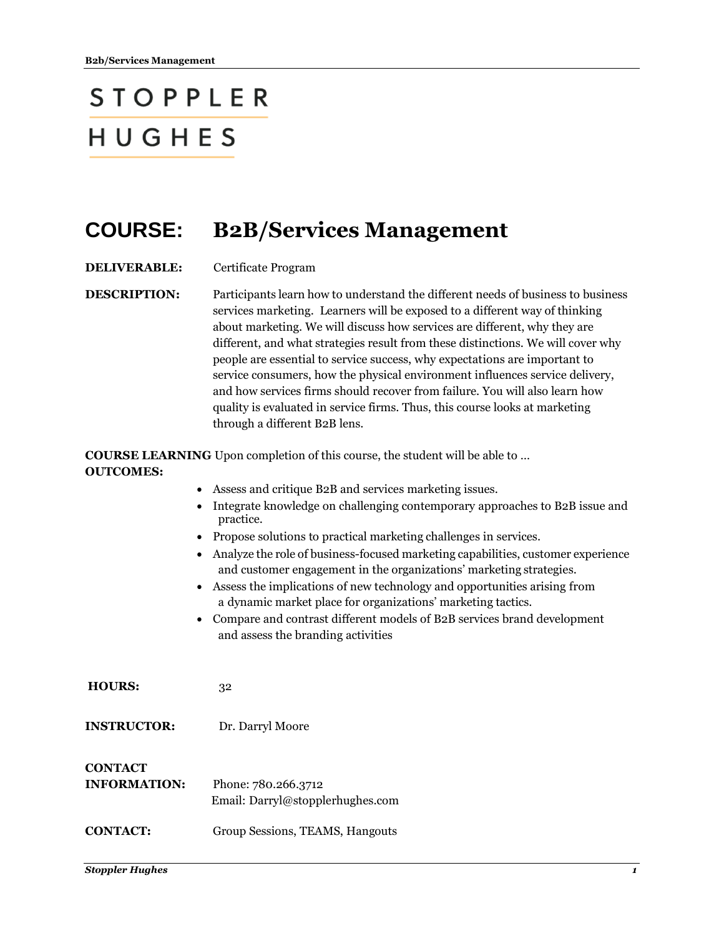## **STOPPLER** HUGHES

## **COURSE: B2B/Services Management**

**DELIVERABLE:** Certificate Program

**DESCRIPTION:** Participants learn how to understand the different needs of business to business services marketing. Learners will be exposed to a different way of thinking about marketing. We will discuss how services are different, why they are different, and what strategies result from these distinctions. We will cover why people are essential to service success, why expectations are important to service consumers, how the physical environment influences service delivery, and how services firms should recover from failure. You will also learn how quality is evaluated in service firms. Thus, this course looks at marketing through a different B2B lens.

**COURSE LEARNING** Upon completion of this course, the student will be able to … **OUTCOMES:**

|                     | Assess and critique B2B and services marketing issues.                                                                                                                                                                                                                                                                  |  |  |  |
|---------------------|-------------------------------------------------------------------------------------------------------------------------------------------------------------------------------------------------------------------------------------------------------------------------------------------------------------------------|--|--|--|
|                     | Integrate knowledge on challenging contemporary approaches to B2B issue and<br>practice.<br>Propose solutions to practical marketing challenges in services.<br>Analyze the role of business-focused marketing capabilities, customer experience<br>and customer engagement in the organizations' marketing strategies. |  |  |  |
|                     |                                                                                                                                                                                                                                                                                                                         |  |  |  |
|                     |                                                                                                                                                                                                                                                                                                                         |  |  |  |
|                     | Assess the implications of new technology and opportunities arising from<br>$\bullet$<br>a dynamic market place for organizations' marketing tactics.                                                                                                                                                                   |  |  |  |
|                     | Compare and contrast different models of B2B services brand development<br>$\bullet$<br>and assess the branding activities                                                                                                                                                                                              |  |  |  |
|                     |                                                                                                                                                                                                                                                                                                                         |  |  |  |
| <b>HOURS:</b>       | 32                                                                                                                                                                                                                                                                                                                      |  |  |  |
| <b>INSTRUCTOR:</b>  | Dr. Darryl Moore                                                                                                                                                                                                                                                                                                        |  |  |  |
| <b>CONTACT</b>      |                                                                                                                                                                                                                                                                                                                         |  |  |  |
| <b>INFORMATION:</b> | Phone: 780.266.3712                                                                                                                                                                                                                                                                                                     |  |  |  |
|                     | Email: Darryl@stopplerhughes.com                                                                                                                                                                                                                                                                                        |  |  |  |
| <b>CONTACT:</b>     | Group Sessions, TEAMS, Hangouts                                                                                                                                                                                                                                                                                         |  |  |  |